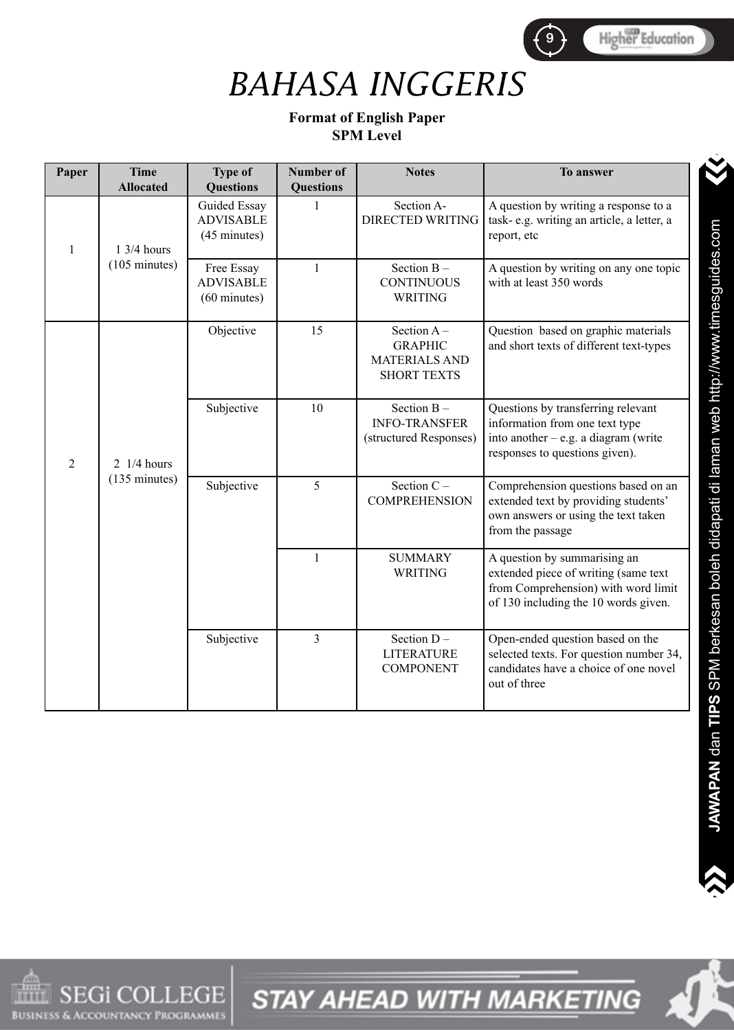

## *BAHASA INGGERIS*

#### **Format of English Paper SPM Level**

| Paper          | <b>Time</b><br><b>Allocated</b>                  | <b>Type of</b><br><b>Questions</b>                       | <b>Number of</b><br><b>Questions</b> | <b>Notes</b>                                                                  | To answer                                                                                                                                           |
|----------------|--------------------------------------------------|----------------------------------------------------------|--------------------------------------|-------------------------------------------------------------------------------|-----------------------------------------------------------------------------------------------------------------------------------------------------|
| $\mathbf{1}$   | $13/4$ hours                                     | Guided Essay<br><b>ADVISABLE</b><br>(45 minutes)         | $\mathbf{1}$                         | Section A-<br><b>DIRECTED WRITING</b>                                         | A question by writing a response to a<br>task-e.g. writing an article, a letter, a<br>report, etc                                                   |
|                | $(105 \text{ minutes})$                          | Free Essay<br><b>ADVISABLE</b><br>$(60 \text{ minutes})$ | $\mathbf{1}$                         | Section $B -$<br><b>CONTINUOUS</b><br><b>WRITING</b>                          | A question by writing on any one topic<br>with at least 350 words                                                                                   |
|                |                                                  | Objective                                                | 15                                   | Section $A -$<br><b>GRAPHIC</b><br><b>MATERIALS AND</b><br><b>SHORT TEXTS</b> | Question based on graphic materials<br>and short texts of different text-types                                                                      |
| $\overline{2}$ | $2 \frac{1}{4}$ hours<br>$(135 \text{ minutes})$ | Subjective                                               | 10                                   | Section B-<br><b>INFO-TRANSFER</b><br>(structured Responses)                  | Questions by transferring relevant<br>information from one text type<br>into another $-$ e.g. a diagram (write<br>responses to questions given).    |
|                |                                                  | Subjective                                               | 5                                    | Section $C -$<br><b>COMPREHENSION</b>                                         | Comprehension questions based on an<br>extended text by providing students'<br>own answers or using the text taken<br>from the passage              |
|                |                                                  |                                                          | $\mathbf{1}$                         | <b>SUMMARY</b><br><b>WRITING</b>                                              | A question by summarising an<br>extended piece of writing (same text<br>from Comprehension) with word limit<br>of 130 including the 10 words given. |
|                |                                                  | Subjective                                               | $\overline{3}$                       | Section D-<br><b>LITERATURE</b><br><b>COMPONENT</b>                           | Open-ended question based on the<br>selected texts. For question number 34,<br>candidates have a choice of one novel<br>out of three                |



 $\dot{\mathbf{v}}$ 

>

 $\sum_{i=1}^n$  $\blacktriangle$ 



**STAY AHEAD WITH MARKETING**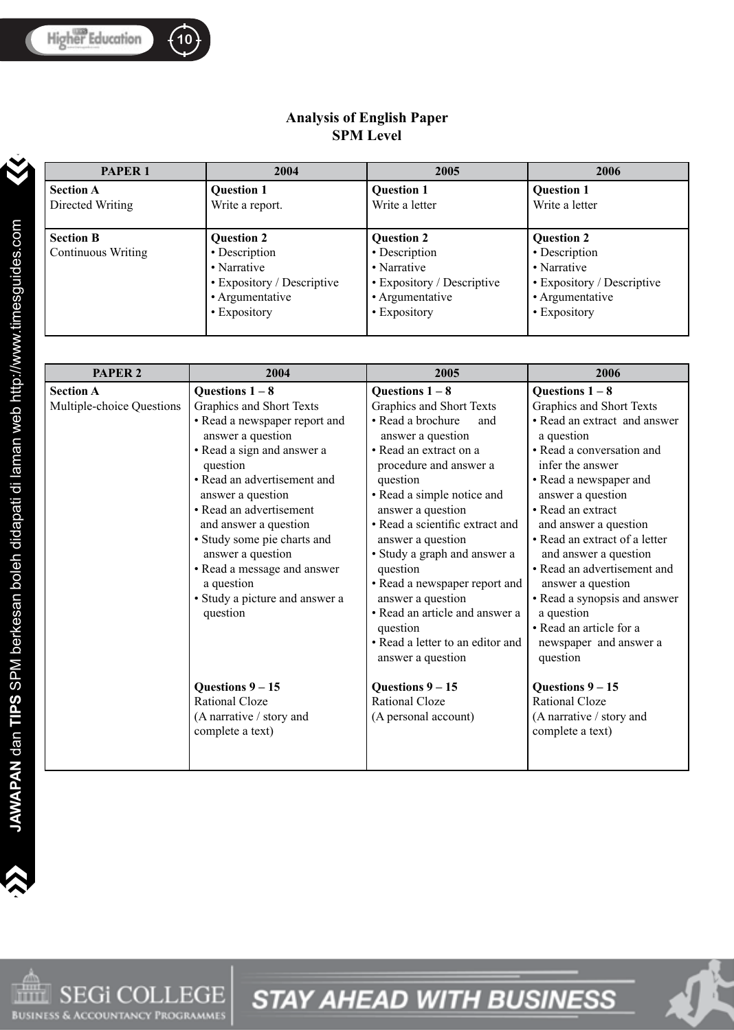#### **Analysis of English Paper SPM Level**

| <b>PAPER 1</b>                         | 2004                                                                                                               | 2005                                                                                                               | 2006                                                                                                               |
|----------------------------------------|--------------------------------------------------------------------------------------------------------------------|--------------------------------------------------------------------------------------------------------------------|--------------------------------------------------------------------------------------------------------------------|
| <b>Section A</b><br>Directed Writing   | <b>Question 1</b><br>Write a report.                                                                               | <b>Question 1</b><br>Write a letter                                                                                | <b>Question 1</b><br>Write a letter                                                                                |
| <b>Section B</b><br>Continuous Writing | <b>Question 2</b><br>• Description<br>• Narrative<br>• Expository / Descriptive<br>• Argumentative<br>• Expository | <b>Question 2</b><br>• Description<br>• Narrative<br>• Expository / Descriptive<br>• Argumentative<br>• Expository | <b>Question 2</b><br>• Description<br>• Narrative<br>• Expository / Descriptive<br>• Argumentative<br>• Expository |

| <b>PAPER 2</b>                                | 2004                                                                                                                                                                                                                                                                                                                                                                                               | 2005                                                                                                                                                                                                                                                                                                                                                                                                                                                                             | 2006                                                                                                                                                                                                                                                                                                                                                                                                                                                                   |
|-----------------------------------------------|----------------------------------------------------------------------------------------------------------------------------------------------------------------------------------------------------------------------------------------------------------------------------------------------------------------------------------------------------------------------------------------------------|----------------------------------------------------------------------------------------------------------------------------------------------------------------------------------------------------------------------------------------------------------------------------------------------------------------------------------------------------------------------------------------------------------------------------------------------------------------------------------|------------------------------------------------------------------------------------------------------------------------------------------------------------------------------------------------------------------------------------------------------------------------------------------------------------------------------------------------------------------------------------------------------------------------------------------------------------------------|
| <b>Section A</b><br>Multiple-choice Questions | Questions $1-8$<br>Graphics and Short Texts<br>• Read a newspaper report and<br>answer a question<br>· Read a sign and answer a<br>question<br>• Read an advertisement and<br>answer a question<br>• Read an advertisement<br>and answer a question<br>• Study some pie charts and<br>answer a question<br>• Read a message and answer<br>a question<br>• Study a picture and answer a<br>question | Questions $1-8$<br>Graphics and Short Texts<br>• Read a brochure<br>and<br>answer a question<br>• Read an extract on a<br>procedure and answer a<br>question<br>• Read a simple notice and<br>answer a question<br>• Read a scientific extract and<br>answer a question<br>• Study a graph and answer a<br>question<br>• Read a newspaper report and<br>answer a question<br>• Read an article and answer a<br>question<br>• Read a letter to an editor and<br>answer a question | Questions $1 - 8$<br>Graphics and Short Texts<br>• Read an extract and answer<br>a question<br>• Read a conversation and<br>infer the answer<br>• Read a newspaper and<br>answer a question<br>• Read an extract<br>and answer a question<br>• Read an extract of a letter<br>and answer a question<br>• Read an advertisement and<br>answer a question<br>• Read a synopsis and answer<br>a question<br>• Read an article for a<br>newspaper and answer a<br>question |
|                                               | Questions $9 - 15$<br><b>Rational Cloze</b><br>(A narrative / story and<br>complete a text)                                                                                                                                                                                                                                                                                                        | Questions $9 - 15$<br><b>Rational Cloze</b><br>(A personal account)                                                                                                                                                                                                                                                                                                                                                                                                              | Questions $9 - 15$<br><b>Rational Cloze</b><br>(A narrative / story and<br>complete a text)                                                                                                                                                                                                                                                                                                                                                                            |

>>

>

 $\sum_{i=1}^n$ 

 $\blacktriangle$ 



**STAY AHEAD WITH BUSINESS** 



**10 f**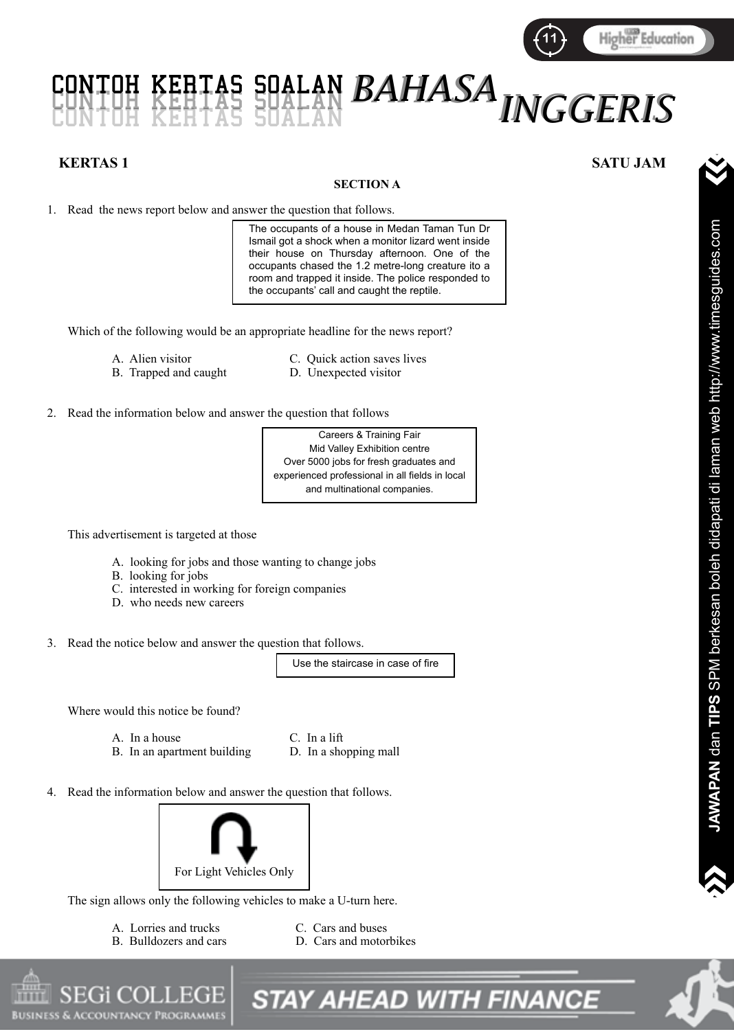

# *BAHASA BAHASA* CONTOH KERTAS SOALAN CONTOH KERTAS SOALAN CONTOH KERTAS SOALAN *INGGERIS INGGERIS*

#### **KERTAS 1 SATU JAM**

#### **SECTION A**

1. Read the news report below and answer the question that follows.

The occupants of a house in Medan Taman Tun Dr Ismail got a shock when a monitor lizard went inside their house on Thursday afternoon. One of the occupants chased the 1.2 metre-long creature ito a room and trapped it inside. The police responded to the occupants' call and caught the reptile.

Which of the following would be an appropriate headline for the news report?

- B. Trapped and caught
- A. Alien visitor C. Quick action saves lives<br>B. Trapped and caught D. Unexpected visitor
- 

2. Read the information below and answer the question that follows

Careers & Training Fair Mid Valley Exhibition centre Over 5000 jobs for fresh graduates and experienced professional in all fields in local and multinational companies.

This advertisement is targeted at those

- A. looking for jobs and those wanting to change jobs
- B. looking for jobs
- C. interested in working for foreign companies
- D. who needs new careers
- 3. Read the notice below and answer the question that follows.

Use the staircase in case of fire

Where would this notice be found?

- A. In a house C. In a lift
- B. In an apartment building D. In a shopping mall
- 
- 4. Read the information below and answer the question that follows.



The sign allows only the following vehicles to make a U-turn here.

- A. Lorries and trucks C. Cars and buses<br>
B. Bulldozers and cars<br>
D. Cars and motor
	- D. Cars and motorbikes
	-
- **STAY AHEAD WITH FINANCE**



 $\sum_{i=1}^n$ 

 $\blacktriangle$ 

 $\dot{\mathbf{v}}$ 

>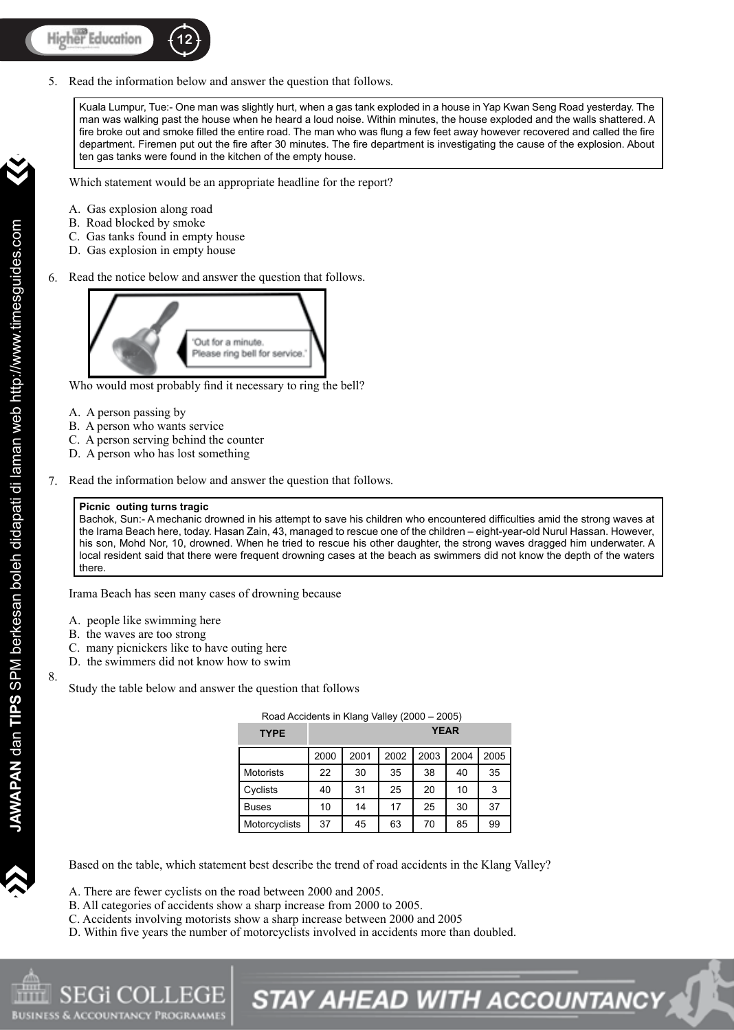5. Read the information below and answer the question that follows.

Kuala Lumpur, Tue:- One man was slightly hurt, when a gas tank exploded in a house in Yap Kwan Seng Road yesterday. The man was walking past the house when he heard a loud noise. Within minutes, the house exploded and the walls shattered. A fire broke out and smoke filled the entire road. The man who was flung a few feet away however recovered and called the fire department. Firemen put out the fire after 30 minutes. The fire department is investigating the cause of the explosion. About ten gas tanks were found in the kitchen of the empty house.

**12 13 13 133 133 133 133 133 133 133 133 133 133 133 133 133 133 133 133 133 133 133 133 133 133 133 133 133 133 133 133 133 133 133 133 133 133 13** 

Which statement would be an appropriate headline for the report?

- A. Gas explosion along road
- B. Road blocked by smoke
- C. Gas tanks found in empty house
- D. Gas explosion in empty house
- Read the notice below and answer the question that follows. 6.



Who would most probably find it necessary to ring the bell?

- A. A person passing by
- B. A person who wants service
- C. A person serving behind the counter
- D. A person who has lost something
- Read the information below and answer the question that follows. 7.

#### **Picnic outing turns tragic**

Bachok, Sun:- A mechanic drowned in his attempt to save his children who encountered difficulties amid the strong waves at the Irama Beach here, today. Hasan Zain, 43, managed to rescue one of the children – eight-year-old Nurul Hassan. However, his son, Mohd Nor, 10, drowned. When he tried to rescue his other daughter, the strong waves dragged him underwater. A local resident said that there were frequent drowning cases at the beach as swimmers did not know the depth of the waters there.

Irama Beach has seen many cases of drowning because

- A. people like swimming here
- B. the waves are too strong
- C. many picnickers like to have outing here
- D. the swimmers did not know how to swim

Study the table below and answer the question that follows

| Road Accidents in Klang Valley (2000 - 2005) |      |      |      |             |      |      |
|----------------------------------------------|------|------|------|-------------|------|------|
| <b>TYPE</b>                                  |      |      |      | <b>YEAR</b> |      |      |
|                                              | 2000 | 2001 | 2002 | 2003        | 2004 | 2005 |
| <b>Motorists</b>                             | 22   | 30   | 35   | 38          | 40   | 35   |
| Cyclists                                     | 40   | 31   | 25   | 20          | 10   | 3    |
| <b>Buses</b>                                 | 10   | 14   | 17   | 25          | 30   | 37   |
| Motorcyclists                                | 37   | 45   | 63   | 70          | 85   | 99   |

Based on the table, which statement best describe the trend of road accidents in the Klang Valley?

- A. There are fewer cyclists on the road between 2000 and 2005.
- B. All categories of accidents show a sharp increase from 2000 to 2005.
- C. Accidents involving motorists show a sharp increase between 2000 and 2005
- D. Within five years the number of motorcyclists involved in accidents more than doubled.

8.

>>

>



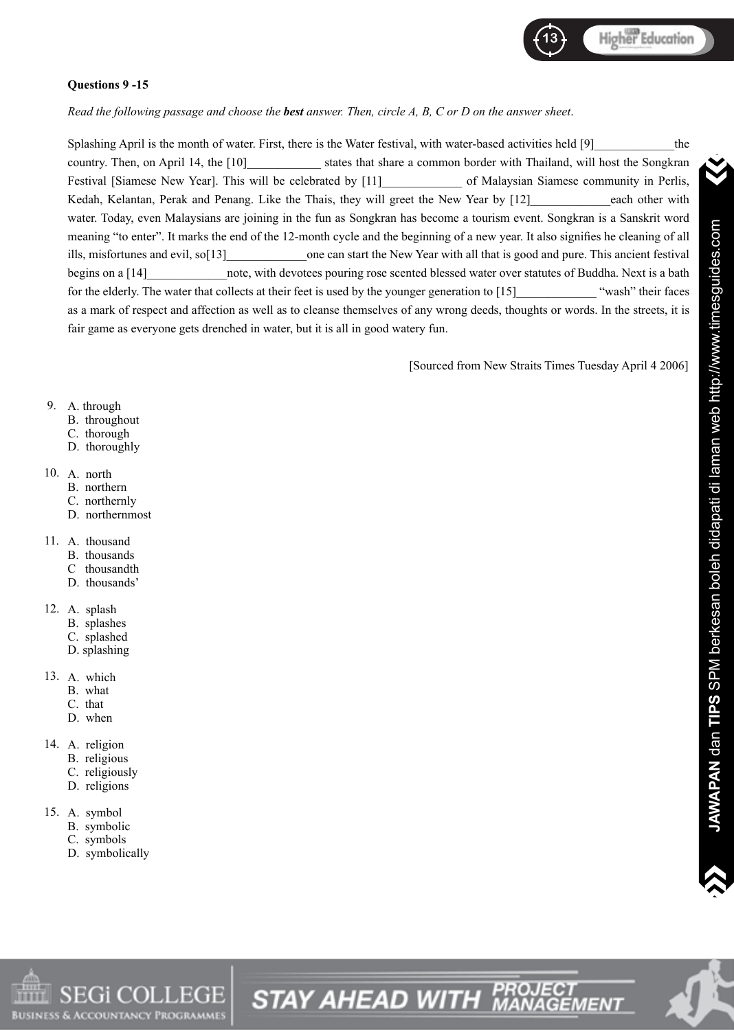

#### **Questions 9 -15**

*Read the following passage and choose the best answer. Then, circle A, B, C or D on the answer sheet*.

Splashing April is the month of water. First, there is the Water festival, with water-based activities held [9] the country. Then, on April 14, the [10] states that share a common border with Thailand, will host the Songkran Festival [Siamese New Year]. This will be celebrated by [11] of Malaysian Siamese community in Perlis, Kedah, Kelantan, Perak and Penang. Like the Thais, they will greet the New Year by [12] each other with water. Today, even Malaysians are joining in the fun as Songkran has become a tourism event. Songkran is a Sanskrit word meaning "to enter". It marks the end of the 12-month cycle and the beginning of a new year. It also signifies he cleaning of all ills, misfortunes and evil, so[13] one can start the New Year with all that is good and pure. This ancient festival begins on a [14] hote, with devotees pouring rose scented blessed water over statutes of Buddha. Next is a bath for the elderly. The water that collects at their feet is used by the younger generation to [15] "wash" their faces as a mark of respect and affection as well as to cleanse themselves of any wrong deeds, thoughts or words. In the streets, it is fair game as everyone gets drenched in water, but it is all in good watery fun.

[Sourced from New Straits Times Tuesday April 4 2006]

#### A. through 9.

- B. throughout
- C. thorough
- D. thoroughly

#### A. north 10.

- B. northern
- C. northernly
- D. northernmost
- A. thousand 11.
	- B. thousands
	- C thousandth
	- D. thousands'
- A. splash 12.
	- B. splashes
	- C. splashed
	- D. splashing
- A. which 13.
	- B. what
	- C. that
	- D. when
- 14. A. religion
	- B. religious
	- C. religiously
	- D. religions
- A. symbol 15.
	- B. symbolic
	- C. symbols
	- D. symbolically



 $\dot{\mathbf{v}}$ 

>

 $\sum_{i=1}^n$ 

 $\blacktriangle$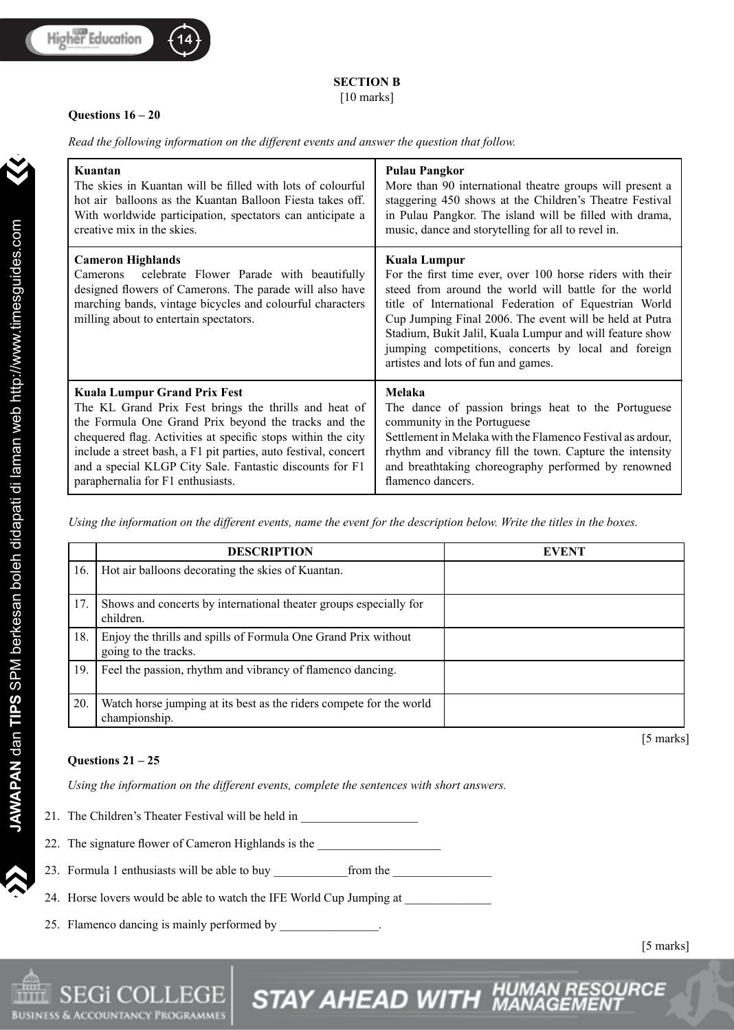>>

>



### **SECTION B**

[10 marks]

#### **Questions 16 – 20**

*Read the following information on the different events and answer the question that follow.*

| Kuantan                                                                                                                                                                                                                                            | <b>Pulau Pangkor</b>                                                                                                                                                                                                                                                                                                                                                                                             |  |  |
|----------------------------------------------------------------------------------------------------------------------------------------------------------------------------------------------------------------------------------------------------|------------------------------------------------------------------------------------------------------------------------------------------------------------------------------------------------------------------------------------------------------------------------------------------------------------------------------------------------------------------------------------------------------------------|--|--|
| The skies in Kuantan will be filled with lots of colourful                                                                                                                                                                                         | More than 90 international theatre groups will present a                                                                                                                                                                                                                                                                                                                                                         |  |  |
| hot air balloons as the Kuantan Balloon Fiesta takes off.                                                                                                                                                                                          | staggering 450 shows at the Children's Theatre Festival                                                                                                                                                                                                                                                                                                                                                          |  |  |
| With worldwide participation, spectators can anticipate a                                                                                                                                                                                          | in Pulau Pangkor. The island will be filled with drama,                                                                                                                                                                                                                                                                                                                                                          |  |  |
| creative mix in the skies.                                                                                                                                                                                                                         | music, dance and storytelling for all to revel in.                                                                                                                                                                                                                                                                                                                                                               |  |  |
| <b>Cameron Highlands</b><br>celebrate Flower Parade with beautifully<br>Camerons<br>designed flowers of Camerons. The parade will also have<br>marching bands, vintage bicycles and colourful characters<br>milling about to entertain spectators. | Kuala Lumpur<br>For the first time ever, over 100 horse riders with their<br>steed from around the world will battle for the world<br>title of International Federation of Equestrian World<br>Cup Jumping Final 2006. The event will be held at Putra<br>Stadium, Bukit Jalil, Kuala Lumpur and will feature show<br>jumping competitions, concerts by local and foreign<br>artistes and lots of fun and games. |  |  |
| <b>Kuala Lumpur Grand Prix Fest</b>                                                                                                                                                                                                                | Melaka                                                                                                                                                                                                                                                                                                                                                                                                           |  |  |
| The KL Grand Prix Fest brings the thrills and heat of                                                                                                                                                                                              | The dance of passion brings heat to the Portuguese                                                                                                                                                                                                                                                                                                                                                               |  |  |
| the Formula One Grand Prix beyond the tracks and the                                                                                                                                                                                               | community in the Portuguese                                                                                                                                                                                                                                                                                                                                                                                      |  |  |
| chequered flag. Activities at specific stops within the city                                                                                                                                                                                       | Settlement in Melaka with the Flamenco Festival as ardour,                                                                                                                                                                                                                                                                                                                                                       |  |  |
| include a street bash, a F1 pit parties, auto festival, concert                                                                                                                                                                                    | rhythm and vibrancy fill the town. Capture the intensity                                                                                                                                                                                                                                                                                                                                                         |  |  |
| and a special KLGP City Sale. Fantastic discounts for F1                                                                                                                                                                                           | and breathtaking choreography performed by renowned                                                                                                                                                                                                                                                                                                                                                              |  |  |
| paraphernalia for F1 enthusiasts.                                                                                                                                                                                                                  | flamenco dancers.                                                                                                                                                                                                                                                                                                                                                                                                |  |  |

*Using the information on the different events, name the event for the description below. Write the titles in the boxes.*

|     | <b>DESCRIPTION</b>                                                                     | <b>EVENT</b> |
|-----|----------------------------------------------------------------------------------------|--------------|
| 16. | Hot air balloons decorating the skies of Kuantan.                                      |              |
| 17. | Shows and concerts by international theater groups especially for<br>children.         |              |
| 18. | Enjoy the thrills and spills of Formula One Grand Prix without<br>going to the tracks. |              |
| 19. | Feel the passion, rhythm and vibrancy of flamenco dancing.                             |              |
| 20. | Watch horse jumping at its best as the riders compete for the world<br>championship.   |              |
|     |                                                                                        | [5 marks]    |

STAY AHEAD WITH MA

#### **Questions 21 – 25**

*Using the information on the different events, complete the sentences with short answers.*

| 21. The Children's Theater Festival will be held in |
|-----------------------------------------------------|
|-----------------------------------------------------|

22. The signature flower of Cameron Highlands is the \_\_\_\_\_\_\_\_\_\_\_\_\_\_\_\_\_\_\_\_\_\_\_\_\_\_\_

23. Formula 1 enthusiasts will be able to buy \_\_\_\_\_\_\_\_\_\_\_\_\_\_\_\_\_\_\_\_\_\_\_\_\_\_\_\_\_\_\_\_\_\_

24. Horse lovers would be able to watch the IFE World Cup Jumping at \_\_\_\_\_\_\_\_\_\_\_

25. Flamenco dancing is mainly performed by \_\_\_\_\_\_\_\_\_\_\_\_\_\_.

**ACCOUNTANCY PROGRAM** 

[5 marks]

RCE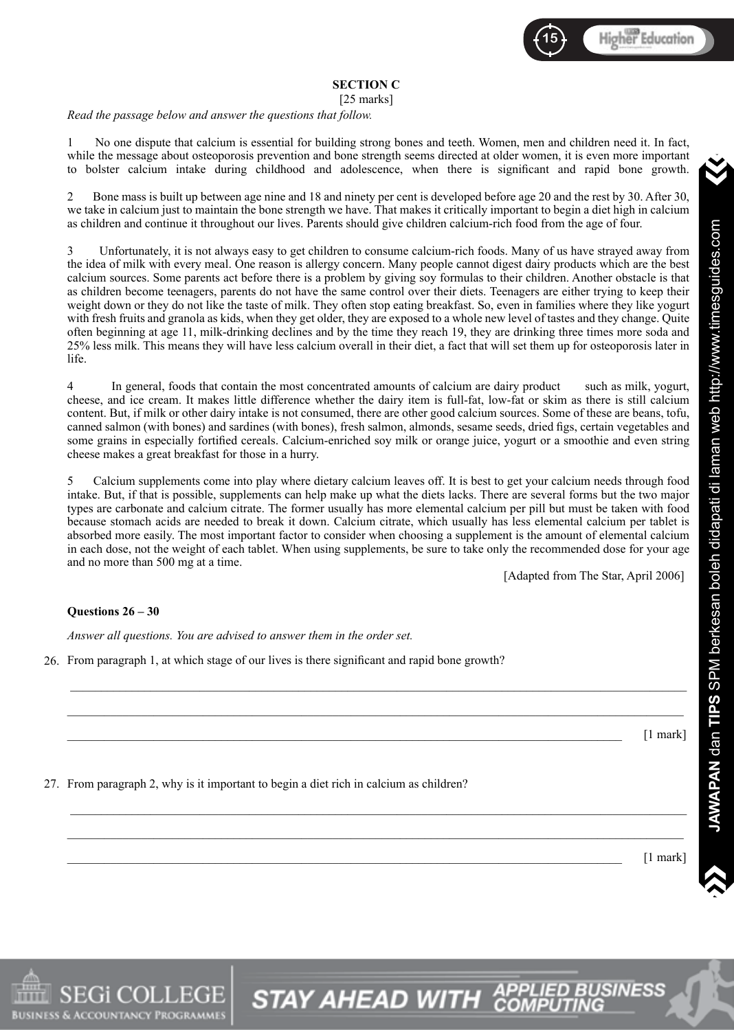

#### **SECTION C**

[25 marks]

*Read the passage below and answer the questions that follow.*

1 No one dispute that calcium is essential for building strong bones and teeth. Women, men and children need it. In fact, while the message about osteoporosis prevention and bone strength seems directed at older women, it is even more important to bolster calcium intake during childhood and adolescence, when there is significant and rapid bone growth.

2 Bone mass is built up between age nine and 18 and ninety per cent is developed before age 20 and the rest by 30. After 30, we take in calcium just to maintain the bone strength we have. That makes it critically important to begin a diet high in calcium as children and continue it throughout our lives. Parents should give children calcium-rich food from the age of four.

3 Unfortunately, it is not always easy to get children to consume calcium-rich foods. Many of us have strayed away from the idea of milk with every meal. One reason is allergy concern. Many people cannot digest dairy products which are the best calcium sources. Some parents act before there is a problem by giving soy formulas to their children. Another obstacle is that as children become teenagers, parents do not have the same control over their diets. Teenagers are either trying to keep their weight down or they do not like the taste of milk. They often stop eating breakfast. So, even in families where they like yogurt with fresh fruits and granola as kids, when they get older, they are exposed to a whole new level of tastes and they change. Quite often beginning at age 11, milk-drinking declines and by the time they reach 19, they are drinking three times more soda and 25% less milk. This means they will have less calcium overall in their diet, a fact that will set them up for osteoporosis later in life.

4 In general, foods that contain the most concentrated amounts of calcium are dairy product such as milk, yogurt, cheese, and ice cream. It makes little difference whether the dairy item is full-fat, low-fat or skim as there is still calcium content. But, if milk or other dairy intake is not consumed, there are other good calcium sources. Some of these are beans, tofu, canned salmon (with bones) and sardines (with bones), fresh salmon, almonds, sesame seeds, dried figs, certain vegetables and some grains in especially fortified cereals. Calcium-enriched soy milk or orange juice, yogurt or a smoothie and even string cheese makes a great breakfast for those in a hurry.

5 Calcium supplements come into play where dietary calcium leaves off. It is best to get your calcium needs through food intake. But, if that is possible, supplements can help make up what the diets lacks. There are several forms but the two major types are carbonate and calcium citrate. The former usually has more elemental calcium per pill but must be taken with food because stomach acids are needed to break it down. Calcium citrate, which usually has less elemental calcium per tablet is absorbed more easily. The most important factor to consider when choosing a supplement is the amount of elemental calcium in each dose, not the weight of each tablet. When using supplements, be sure to take only the recommended dose for your age and no more than 500 mg at a time.

\_\_\_\_\_\_\_\_\_\_\_\_\_\_\_\_\_\_\_\_\_\_\_\_\_\_\_\_\_\_\_\_\_\_\_\_\_\_\_\_\_\_\_\_\_\_\_\_\_\_\_\_\_\_\_\_\_\_\_\_\_\_\_\_\_\_\_\_\_\_\_\_\_\_\_\_\_\_\_\_\_\_\_\_\_\_\_\_\_\_\_\_\_\_\_\_\_\_\_\_

\_\_\_\_\_\_\_\_\_\_\_\_\_\_\_\_\_\_\_\_\_\_\_\_\_\_\_\_\_\_\_\_\_\_\_\_\_\_\_\_\_\_\_\_\_\_\_\_\_\_\_\_\_\_\_\_\_\_\_\_\_\_\_\_\_\_\_\_\_\_\_\_\_\_\_\_\_\_\_\_\_\_\_\_\_\_\_\_\_\_\_\_\_\_\_\_\_\_\_\_

\_\_\_\_\_\_\_\_\_\_\_\_\_\_\_\_\_\_\_\_\_\_\_\_\_\_\_\_\_\_\_\_\_\_\_\_\_\_\_\_\_\_\_\_\_\_\_\_\_\_\_\_\_\_\_\_\_\_\_\_\_\_\_\_\_\_\_\_\_\_\_\_\_\_\_\_\_\_\_\_\_\_\_\_\_\_\_\_\_\_\_\_\_\_\_\_\_\_\_\_

\_\_\_\_\_\_\_\_\_\_\_\_\_\_\_\_\_\_\_\_\_\_\_\_\_\_\_\_\_\_\_\_\_\_\_\_\_\_\_\_\_\_\_\_\_\_\_\_\_\_\_\_\_\_\_\_\_\_\_\_\_\_\_\_\_\_\_\_\_\_\_\_\_\_\_\_\_\_\_\_\_\_\_\_\_\_\_\_\_\_\_\_\_\_\_\_\_\_\_\_

**STAY AHEAD WITH <sup>AP</sup>** 

[Adapted from The Star, April 2006]

#### **Questions 26 – 30**

S & ACCOUNTANCY PROGRAMMI

*Answer all questions. You are advised to answer them in the order set.*

26. From paragraph 1, at which stage of our lives is there significant and rapid bone growth?

 $\Box$   $[1 \text{ mark}]$ 

27. From paragraph 2, why is it important to begin a diet rich in calcium as children?

 $\Box$  mark]  $[1 \text{ mark}]$ 

 $\sum_{i=1}^n$ 

 $\blacktriangle$ 

JAWAPAN dan TIPS SPM berkesan boleh didapati di laman web http://www.timesguides.com **JAWAPAN** dan **TIPS** SPM berkesan boleh didapati di laman web http://www.timesguides.com

 $\dot{\mathbf{v}}$ 

>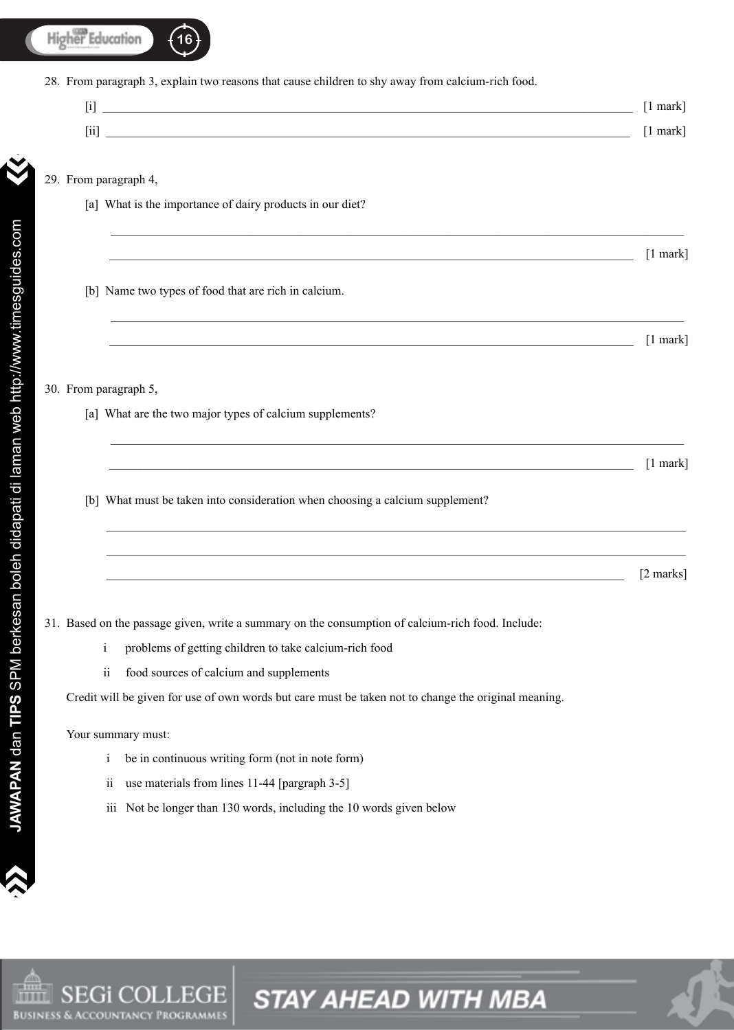

From paragraph 3, explain two reasons that cause children to shy away from calcium-rich food. 28.

|             | $\sim$             |
|-------------|--------------------|
| $- \cdot -$ | $-0.0004 - 0.0004$ |

 $\_$  ,  $\_$  ,  $\_$  ,  $\_$  ,  $\_$  ,  $\_$  ,  $\_$  ,  $\_$  ,  $\_$  ,  $\_$  ,  $\_$  ,  $\_$  ,  $\_$  ,  $\_$  ,  $\_$  ,  $\_$  ,  $\_$  ,  $\_$  ,  $\_$  ,  $\_$  ,  $\_$  ,  $\_$  ,  $\_$  ,  $\_$  ,  $\_$  ,  $\_$  ,  $\_$  ,  $\_$  ,  $\_$  ,  $\_$  ,  $\_$  ,  $\_$  ,  $\_$  ,  $\_$  ,  $\_$  ,  $\_$  ,  $\_$  ,

\_\_\_\_\_\_\_\_\_\_\_\_\_\_\_\_\_\_\_\_\_\_\_\_\_\_\_\_\_\_\_\_\_\_\_\_\_\_\_\_\_\_\_\_\_\_\_\_\_\_\_\_\_\_\_\_\_\_\_\_\_\_\_\_\_\_\_\_\_\_\_\_\_\_\_\_\_\_\_\_\_\_\_\_\_\_\_\_\_\_\_\_\_

 $\_$  ,  $\_$  ,  $\_$  ,  $\_$  ,  $\_$  ,  $\_$  ,  $\_$  ,  $\_$  ,  $\_$  ,  $\_$  ,  $\_$  ,  $\_$  ,  $\_$  ,  $\_$  ,  $\_$  ,  $\_$  ,  $\_$  ,  $\_$  ,  $\_$  ,  $\_$  ,  $\_$  ,  $\_$  ,  $\_$  ,  $\_$  ,  $\_$  ,  $\_$  ,  $\_$  ,  $\_$  ,  $\_$  ,  $\_$  ,  $\_$  ,  $\_$  ,  $\_$  ,  $\_$  ,  $\_$  ,  $\_$  ,  $\_$  ,

\_\_\_\_\_\_\_\_\_\_\_\_\_\_\_\_\_\_\_\_\_\_\_\_\_\_\_\_\_\_\_\_\_\_\_\_\_\_\_\_\_\_\_\_\_\_\_\_\_\_\_\_\_\_\_\_\_\_\_\_\_\_\_\_\_\_\_\_\_\_\_\_\_\_\_\_\_\_\_\_\_\_\_\_\_\_\_\_\_\_\_\_\_\_

\_\_\_\_\_\_\_\_\_\_\_\_\_\_\_\_\_\_\_\_\_\_\_\_\_\_\_\_\_\_\_\_\_\_\_\_\_\_\_\_\_\_\_\_\_\_\_\_\_\_\_\_\_\_\_\_\_\_\_\_\_\_\_\_\_\_\_\_\_\_\_\_\_\_\_\_\_\_\_\_\_\_\_\_\_\_\_\_\_\_\_\_\_\_

**STAY AHEAD WITH MBA** 

From paragraph 4, 29.

>>

>

- [a] What is the importance of dairy products in our diet?
- [b] Name two types of food that are rich in calcium.

 $\frac{1 \text{ mark}}{2}$ 

 $\Box$  [1 mark]

#### 30. From paragraph 5,

[a] What are the two major types of calcium supplements?

 $\frac{1 \text{ mark}}{2}$ 

 $\frac{1}{2 \text{ marks}}$ 

[b] What must be taken into consideration when choosing a calcium supplement?

31. Based on the passage given, write a summary on the consumption of calcium-rich food. Include:

- i problems of getting children to take calcium-rich food
- ii food sources of calcium and supplements

Credit will be given for use of own words but care must be taken not to change the original meaning.

Your summary must:

- i be in continuous writing form (not in note form)
- ii use materials from lines 11-44 [pargraph 3-5]
- iii Not be longer than 130 words, including the 10 words given below

 $\sum_{i=1}^n$  $\blacktriangle$ 

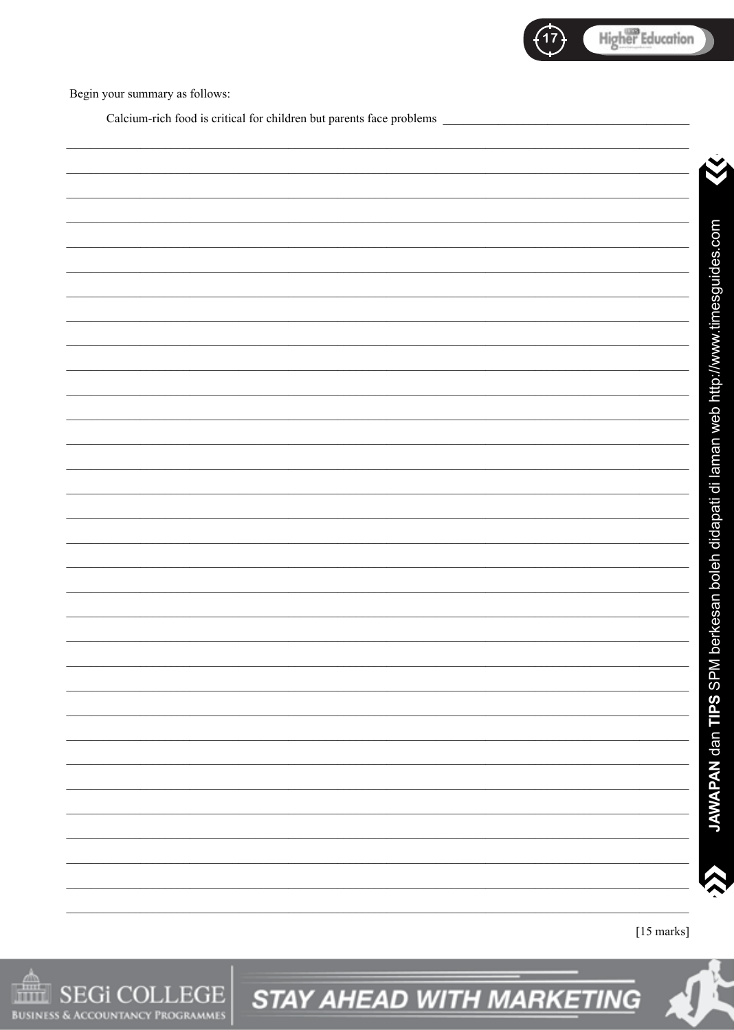

Begin your summary as follows:

Calcium-rich food is critical for children but parents face problems

JAWAPAN dan TIPS SPM berkesan boleh didapati di laman web http://www.timesguides.com



**STAY AHEAD WITH MARKETING**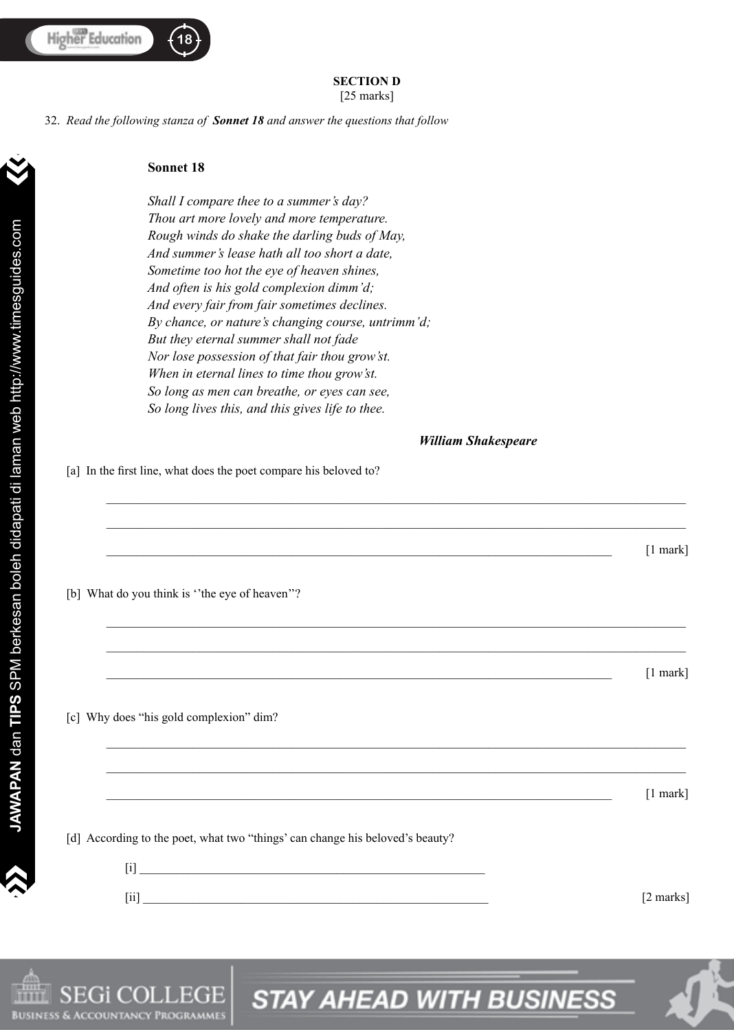#### **SECTION D** [25 marks]

\_\_\_\_\_\_\_\_\_\_\_\_\_\_\_\_\_\_\_\_\_\_\_\_\_\_\_\_\_\_\_\_\_\_\_\_\_\_\_\_\_\_\_\_\_\_\_\_\_\_\_\_\_\_\_\_\_\_\_\_\_\_\_\_\_\_\_\_\_\_\_\_\_\_\_\_\_\_\_\_\_\_\_\_\_\_\_\_\_\_\_\_\_\_

\_\_\_\_\_\_\_\_\_\_\_\_\_\_\_\_\_\_\_\_\_\_\_\_\_\_\_\_\_\_\_\_\_\_\_\_\_\_\_\_\_\_\_\_\_\_\_\_\_\_\_\_\_\_\_\_\_\_\_\_\_\_\_\_\_\_\_\_\_\_\_\_\_\_\_\_\_\_\_\_\_\_\_\_\_\_\_\_\_\_\_\_\_\_

 $\Box$ 

\_\_\_\_\_\_\_\_\_\_\_\_\_\_\_\_\_\_\_\_\_\_\_\_\_\_\_\_\_\_\_\_\_\_\_\_\_\_\_\_\_\_\_\_\_\_\_\_\_\_\_\_\_\_\_\_\_\_\_\_\_\_\_\_\_\_\_\_\_\_\_\_\_\_\_\_\_\_\_\_\_\_\_\_\_\_\_\_\_\_\_\_\_\_

\_\_\_\_\_\_\_\_\_\_\_\_\_\_\_\_\_\_\_\_\_\_\_\_\_\_\_\_\_\_\_\_\_\_\_\_\_\_\_\_\_\_\_\_\_\_\_\_\_\_\_\_\_\_\_\_\_\_\_\_\_\_\_\_\_\_\_\_\_\_\_\_\_\_\_\_\_\_\_\_\_\_\_\_\_\_\_\_\_\_\_\_\_\_

\_\_\_\_\_\_\_\_\_\_\_\_\_\_\_\_\_\_\_\_\_\_\_\_\_\_\_\_\_\_\_\_\_\_\_\_\_\_\_\_\_\_\_\_\_\_\_\_\_\_\_\_\_\_\_\_\_\_\_\_\_\_\_\_\_\_\_\_\_\_\_\_\_\_\_\_\_\_\_\_\_\_ [1 mark]

\_\_\_\_\_\_\_\_\_\_\_\_\_\_\_\_\_\_\_\_\_\_\_\_\_\_\_\_\_\_\_\_\_\_\_\_\_\_\_\_\_\_\_\_\_\_\_\_\_\_\_\_\_\_\_\_\_\_\_\_\_\_\_\_\_\_\_\_\_\_\_\_\_\_\_\_\_\_\_\_\_\_\_\_\_\_\_\_\_\_\_\_\_\_

\_\_\_\_\_\_\_\_\_\_\_\_\_\_\_\_\_\_\_\_\_\_\_\_\_\_\_\_\_\_\_\_\_\_\_\_\_\_\_\_\_\_\_\_\_\_\_\_\_\_\_\_\_\_\_\_\_\_\_\_\_\_\_\_\_\_\_\_\_\_\_\_\_\_\_\_\_\_\_\_\_\_\_\_\_\_\_\_\_\_\_\_\_\_

*Read the following stanza of Sonnet 18 and answer the questions that follow* 32.

#### **Sonnet 18**

 *Shall I compare thee to a summer's day? Thou art more lovely and more temperature. Rough winds do shake the darling buds of May, And summer's lease hath all too short a date, Sometime too hot the eye of heaven shines, And often is his gold complexion dimm'd; And every fair from fair sometimes declines. By chance, or nature's changing course, untrimm'd; But they eternal summer shall not fade Nor lose possession of that fair thou grow'st. When in eternal lines to time thou grow'st. So long as men can breathe, or eyes can see, So long lives this, and this gives life to thee.* 

#### *William Shakespeare*

[a] In the first line, what does the poet compare his beloved to?

[b] What do you think is "the eye of heaven"?

[c] Why does "his gold complexion" dim?

 $\Box$ 

**18 f** 

[d] According to the poet, what two "things' can change his beloved's beauty?

 $\left[ 1 \right]$  , and the set of the set of the set of the set of the set of the set of the set of the set of the set of the set of the set of the set of the set of the set of the set of the set of the set of the set of the se  $[i]$  [2 marks]

>>

>



**STAY AHEAD WITH BUSINESS**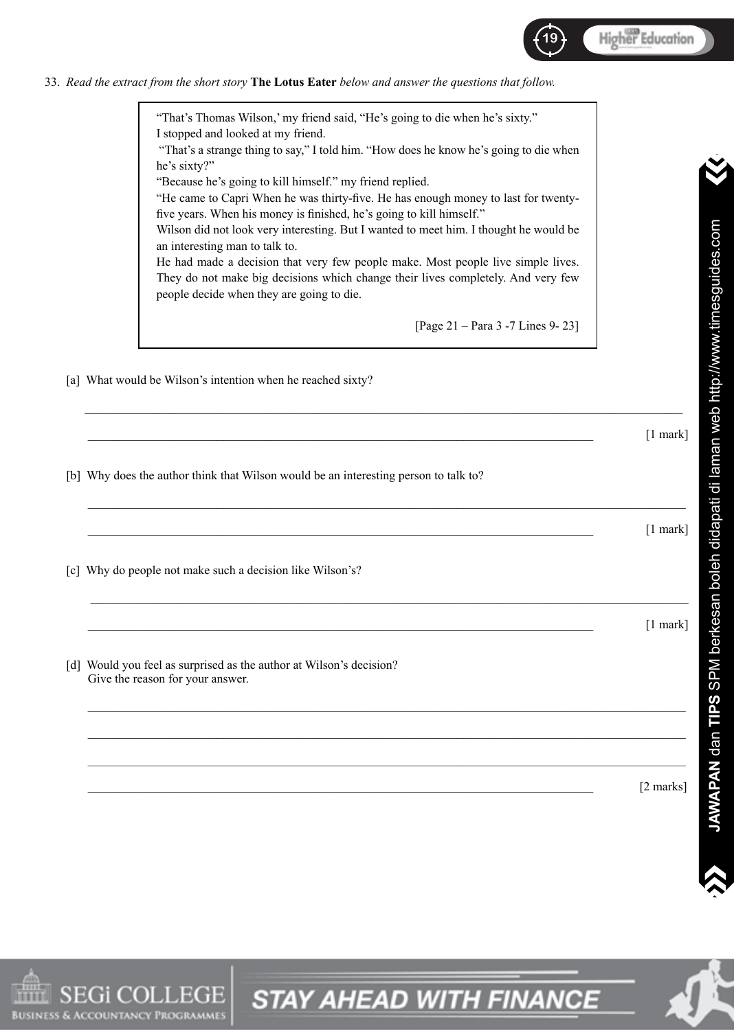

*Read the extract from the short story* **The Lotus Eater** *below and answer the questions that follow.* 33.

"That's Thomas Wilson,' my friend said, "He's going to die when he's sixty." I stopped and looked at my friend. "That's a strange thing to say," I told him. "How does he know he's going to die when he's sixty?" "Because he's going to kill himself." my friend replied. "He came to Capri When he was thirty-five. He has enough money to last for twentyfive years. When his money is finished, he's going to kill himself." Wilson did not look very interesting. But I wanted to meet him. I thought he would be an interesting man to talk to. He had made a decision that very few people make. Most people live simple lives. They do not make big decisions which change their lives completely. And very few people decide when they are going to die. [Page 21 – Para 3 -7 Lines 9- 23]

\_\_\_\_\_\_\_\_\_\_\_\_\_\_\_\_\_\_\_\_\_\_\_\_\_\_\_\_\_\_\_\_\_\_\_\_\_\_\_\_\_\_\_\_\_\_\_\_\_\_\_\_\_\_\_\_\_\_\_\_\_\_\_\_\_\_\_\_\_\_\_\_\_\_\_\_\_\_\_\_\_\_\_\_\_\_\_\_\_\_\_\_\_\_\_\_\_

[a] What would be Wilson's intention when he reached sixty?

|                                                                                                         | [1 mark]   |
|---------------------------------------------------------------------------------------------------------|------------|
| [b] Why does the author think that Wilson would be an interesting person to talk to?                    |            |
|                                                                                                         | $[1$ mark] |
| [c] Why do people not make such a decision like Wilson's?                                               |            |
|                                                                                                         | $[1$ mark] |
| [d] Would you feel as surprised as the author at Wilson's decision?<br>Give the reason for your answer. |            |
|                                                                                                         |            |
|                                                                                                         | [2 marks]  |

**STAY AHEAD WITH FINANCE** 

 $\dot{\mathbf{v}}$ 

>



 $\sum_{i=1}^n$ 

 $\blacktriangle$